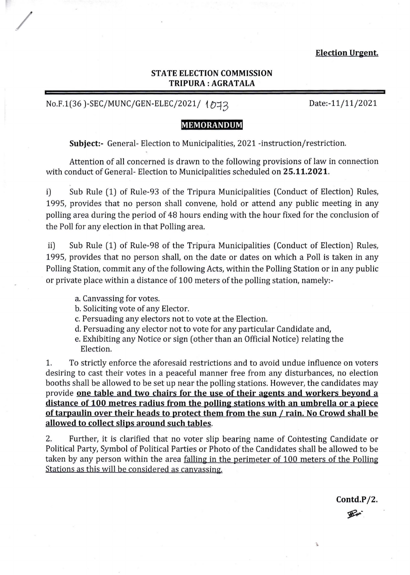### **Election Urgent.**

## **STATE ELECTION COMMISSION TRIPURA : AGRA TALA**

# No.F.1(36)-SEC/MUNC/GEN-ELEC/2021/ 1の13

/

Date:-11/11/2021

## **MEMORANDUM**

**Subject:-** General- Election to Municipalities, 2021 -instruction/restriction.

Attention of all concerned is drawn to the following provisions of law in connection with conduct of General- Election to Municipalities scheduled on **25.11.2021.** 

i) Sub Rule (1) of Rule-93 of the Tripura Municipalities (Conduct of Election) Rules, 1995, provides that no person shall convene, hold or attend any public meeting in any polling area during the period of 48 hours ending with the hour fixed for the conclusion of the Poll for any election in that Polling area.

ii) Sub Rule (1) of Rule-98 of the Tripura Municipalities (Conduct of Election) Rules, 1995, provides that no person shall, on the date or dates on which a Poll is taken in any Polling Station, commit any of the following Acts, within the Polling Station or in any public or private place within a distance of 100 meters of the polling station, namely:-

- a. Canvassing for votes.
- b. Soliciting vote of any Elector.
- c. Persuading any electors not to vote at the Election.
- d. Persuading any elector not to vote for any particular Candidate and,
- e. Exhibiting any Notice or sign (other than an Official Notice) relating the Election.

1. To strictly enforce the aforesaid restrictions and to avoid undue influence on voters desiring to cast their votes in a peaceful manner free from any disturbances, no election booths shall be allowed to be set up near the polling stations. However, the candidates may provide **one table and two chairs for the use of their agents and workers beyond a distance of 100 metres radius from the polling stations with an umbrella or a piece of tarpaulin over their heads to protect them from the sun / rain. No Crowd shall be allowed to collect slips around such tables.** 

2. Further, it is clarified that no voter slip bearing name of Contesting Candidate or Political Party, Symbol of Political Parties or Photo of the Candidates shall be allowed to be taken by any person within the area falling in the perimeter of 100 meters of the Polling Stations as this will be considered as canvassing.

**Contd.P/2.** 

**Rue** 

 $\mathbf{A}$